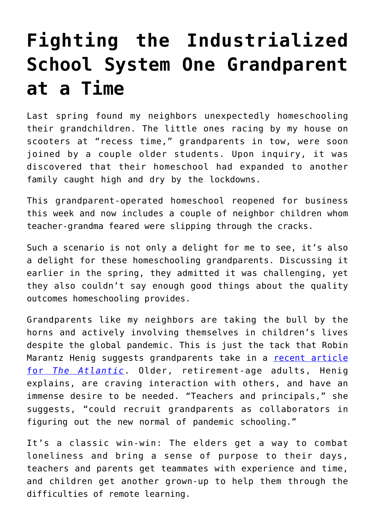## **[Fighting the Industrialized](https://intellectualtakeout.org/2020/09/fighting-the-industrialized-school-system-one-grandparent-at-a-time/) [School System One Grandparent](https://intellectualtakeout.org/2020/09/fighting-the-industrialized-school-system-one-grandparent-at-a-time/) [at a Time](https://intellectualtakeout.org/2020/09/fighting-the-industrialized-school-system-one-grandparent-at-a-time/)**

Last spring found my neighbors unexpectedly homeschooling their grandchildren. The little ones racing by my house on scooters at "recess time," grandparents in tow, were soon joined by a couple older students. Upon inquiry, it was discovered that their homeschool had expanded to another family caught high and dry by the lockdowns.

This grandparent-operated homeschool reopened for business this week and now includes a couple of neighbor children whom teacher-grandma feared were slipping through the cracks.

Such a scenario is not only a delight for me to see, it's also a delight for these homeschooling grandparents. Discussing it earlier in the spring, they admitted it was challenging, yet they also couldn't say enough good things about the quality outcomes homeschooling provides.

Grandparents like my neighbors are taking the bull by the horns and actively involving themselves in children's lives despite the global pandemic. This is just the tack that Robin Marantz Henig suggests grandparents take in a [recent article](https://www.theatlantic.com/family/archive/2020/09/use-grandparents-help-homeschooling/616225/) [for](https://www.theatlantic.com/family/archive/2020/09/use-grandparents-help-homeschooling/616225/) *[The Atlantic](https://www.theatlantic.com/family/archive/2020/09/use-grandparents-help-homeschooling/616225/)*. Older, retirement-age adults, Henig explains, are craving interaction with others, and have an immense desire to be needed. "Teachers and principals," she suggests, "could recruit grandparents as collaborators in figuring out the new normal of pandemic schooling."

It's a classic win-win: The elders get a way to combat loneliness and bring a sense of purpose to their days, teachers and parents get teammates with experience and time, and children get another grown-up to help them through the difficulties of remote learning.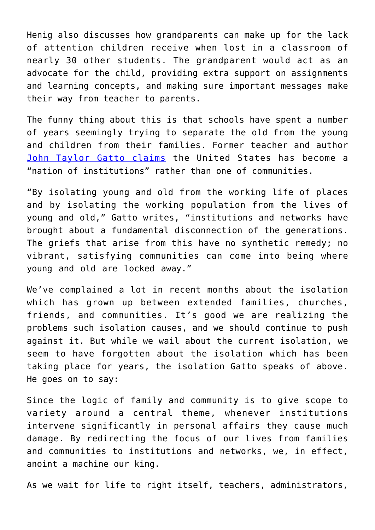Henig also discusses how grandparents can make up for the lack of attention children receive when lost in a classroom of nearly 30 other students. The grandparent would act as an advocate for the child, providing extra support on assignments and learning concepts, and making sure important messages make their way from teacher to parents.

The funny thing about this is that schools have spent a number of years seemingly trying to separate the old from the young and children from their families. Former teacher and author [John Taylor Gatto claims](https://www.amazon.com/gp/product/086571231X/ref=as_li_qf_asin_il_tl?ie=UTF8&tag=intelltakeo0d-20&creative=9325&linkCode=as2&creativeASIN=086571231X&linkId=a906ba6b6d78871d7b5328204d686d41) the United States has become a "nation of institutions" rather than one of communities.

"By isolating young and old from the working life of places and by isolating the working population from the lives of young and old," Gatto writes, "institutions and networks have brought about a fundamental disconnection of the generations. The griefs that arise from this have no synthetic remedy; no vibrant, satisfying communities can come into being where young and old are locked away."

We've complained a lot in recent months about the isolation which has grown up between extended families, churches, friends, and communities. It's good we are realizing the problems such isolation causes, and we should continue to push against it. But while we wail about the current isolation, we seem to have forgotten about the isolation which has been taking place for years, the isolation Gatto speaks of above. He goes on to say:

Since the logic of family and community is to give scope to variety around a central theme, whenever institutions intervene significantly in personal affairs they cause much damage. By redirecting the focus of our lives from families and communities to institutions and networks, we, in effect, anoint a machine our king.

As we wait for life to right itself, teachers, administrators,